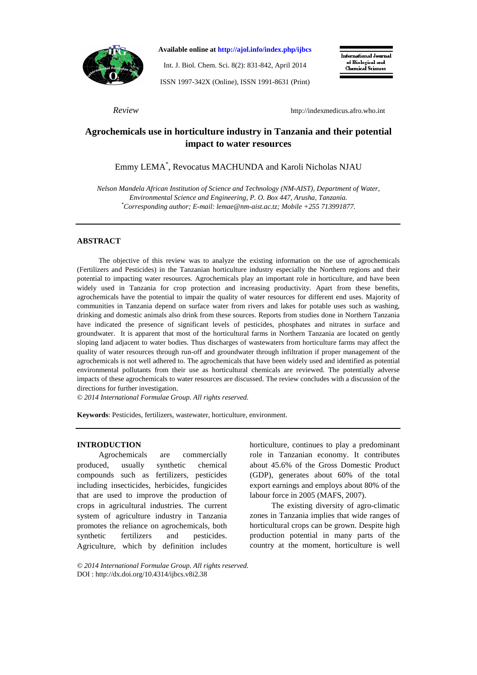

**Available online at http://ajol.info/index.php/ijbcs**

Int. J. Biol. Chem. Sci. 8(2): 831-842, April 2014

ISSN 1997-342X (Online), ISSN 1991-8631 (Print)

**International Journal** of Biological and<br>Chemical Sciences

*Review* http://indexmedicus.afro.who.int

# **Agrochemicals use in horticulture industry in Tanzania and their potential impact to water resources**

Emmy LEMA\* , Revocatus MACHUNDA and Karoli Nicholas NJAU

*Nelson Mandela African Institution of Science and Technology (NM-AIST), Department of Water, Environmental Science and Engineering, P. O. Box 447, Arusha, Tanzania. \*Corresponding author; E-mail: lemae@nm-aist.ac.tz; Mobile +255 713991877.* 

### **ABSTRACT**

The objective of this review was to analyze the existing information on the use of agrochemicals (Fertilizers and Pesticides) in the Tanzanian horticulture industry especially the Northern regions and their potential to impacting water resources. Agrochemicals play an important role in horticulture, and have been widely used in Tanzania for crop protection and increasing productivity. Apart from these benefits, agrochemicals have the potential to impair the quality of water resources for different end uses. Majority of communities in Tanzania depend on surface water from rivers and lakes for potable uses such as washing, drinking and domestic animals also drink from these sources. Reports from studies done in Northern Tanzania have indicated the presence of significant levels of pesticides, phosphates and nitrates in surface and groundwater. It is apparent that most of the horticultural farms in Northern Tanzania are located on gently sloping land adjacent to water bodies. Thus discharges of wastewaters from horticulture farms may affect the quality of water resources through run-off and groundwater through infiltration if proper management of the agrochemicals is not well adhered to. The agrochemicals that have been widely used and identified as potential environmental pollutants from their use as horticultural chemicals are reviewed. The potentially adverse impacts of these agrochemicals to water resources are discussed. The review concludes with a discussion of the directions for further investigation.

*© 2014 International Formulae Group. All rights reserved.*

**Keywords**: Pesticides, fertilizers, wastewater, horticulture, environment.

#### **INTRODUCTION**

Agrochemicals are commercially produced, usually synthetic chemical compounds such as fertilizers, pesticides including insecticides, herbicides, fungicides that are used to improve the production of crops in agricultural industries. The current system of agriculture industry in Tanzania promotes the reliance on agrochemicals, both synthetic fertilizers and pesticides. Agriculture, which by definition includes

horticulture, continues to play a predominant role in Tanzanian economy. It contributes about 45.6% of the Gross Domestic Product (GDP), generates about 60% of the total export earnings and employs about 80% of the labour force in 2005 (MAFS, 2007).

The existing diversity of agro-climatic zones in Tanzania implies that wide ranges of horticultural crops can be grown. Despite high production potential in many parts of the country at the moment, horticulture is well

*<sup>© 2014</sup> International Formulae Group. All rights reserved.* DOI : http://dx.doi.org/10.4314/ijbcs.v8i2.38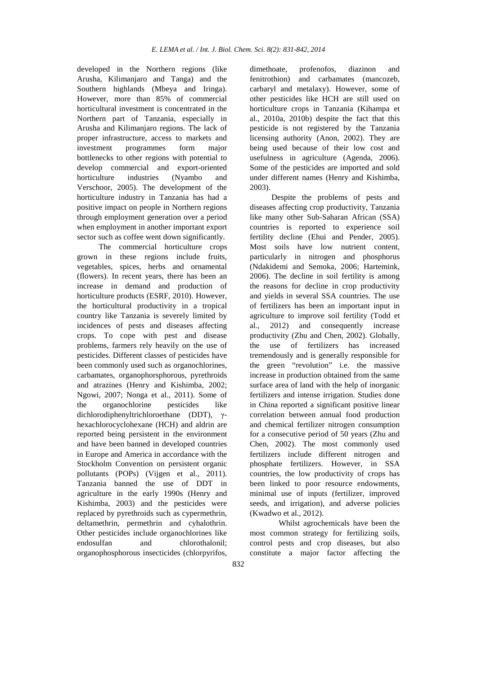developed in the Northern regions (like Arusha, Kilimanjaro and Tanga) and the Southern highlands (Mbeya and Iringa). However, more than 85% of commercial horticultural investment is concentrated in the Northern part of Tanzania, especially in Arusha and Kilimanjaro regions. The lack of proper infrastructure, access to markets and investment programmes form major bottlenecks to other regions with potential to develop commercial and export-oriented horticulture industries (Nyambo and Verschoor, 2005). The development of the horticulture industry in Tanzania has had a positive impact on people in Northern regions through employment generation over a period when employment in another important export sector such as coffee went down significantly.

The commercial horticulture crops grown in these regions include fruits, vegetables, spices, herbs and ornamental (flowers). In recent years, there has been an increase in demand and production of horticulture products (ESRF, 2010). However, the horticultural productivity in a tropical country like Tanzania is severely limited by incidences of pests and diseases affecting crops. To cope with pest and disease problems, farmers rely heavily on the use of pesticides. Different classes of pesticides have been commonly used such as organochlorines, carbamates, organophorsphorous, pyrethroids and atrazines (Henry and Kishimba, 2002; Ngowi, 2007; Nonga et al., 2011). Some of the organochlorine pesticides like dichlorodiphenyltrichloroethane (DDT), γhexachlorocyclohexane (HCH) and aldrin are reported being persistent in the environment and have been banned in developed countries in Europe and America in accordance with the Stockholm Convention on persistent organic pollutants (POPs) (Vijgen et al., 2011). Tanzania banned the use of DDT in agriculture in the early 1990s (Henry and Kishimba, 2003) and the pesticides were replaced by pyrethroids such as cypermethrin, deltamethrin, permethrin and cyhalothrin. Other pesticides include organochlorines like endosulfan and chlorothalonil; organophosphorous insecticides (chlorpyrifos,

dimethoate, profenofos, diazinon and fenitrothion) and carbamates (mancozeb, carbaryl and metalaxy). However, some of other pesticides like HCH are still used on horticulture crops in Tanzania (Kihampa et al., 2010a, 2010b) despite the fact that this pesticide is not registered by the Tanzania licensing authority (Anon, 2002). They are being used because of their low cost and usefulness in agriculture (Agenda, 2006). Some of the pesticides are imported and sold under different names (Henry and Kishimba, 2003).

Despite the problems of pests and diseases affecting crop productivity, Tanzania like many other Sub-Saharan African (SSA) countries is reported to experience soil fertility decline (Ehui and Pender, 2005). Most soils have low nutrient content, particularly in nitrogen and phosphorus (Ndakidemi and Semoka, 2006; Hartemink, 2006). The decline in soil fertility is among the reasons for decline in crop productivity and yields in several SSA countries. The use of fertilizers has been an important input in agriculture to improve soil fertility (Todd et al., 2012) and consequently increase productivity (Zhu and Chen, 2002). Globally, the use of fertilizers has increased tremendously and is generally responsible for the green "revolution" i.e. the massive increase in production obtained from the same surface area of land with the help of inorganic fertilizers and intense irrigation. Studies done in China reported a significant positive linear correlation between annual food production and chemical fertilizer nitrogen consumption for a consecutive period of 50 years (Zhu and Chen, 2002). The most commonly used fertilizers include different nitrogen and phosphate fertilizers. However, in SSA countries, the low productivity of crops has been linked to poor resource endowments, minimal use of inputs (fertilizer, improved seeds, and irrigation), and adverse policies (Kwadwo et al., 2012).

Whilst agrochemicals have been the most common strategy for fertilizing soils, control pests and crop diseases, but also constitute a major factor affecting the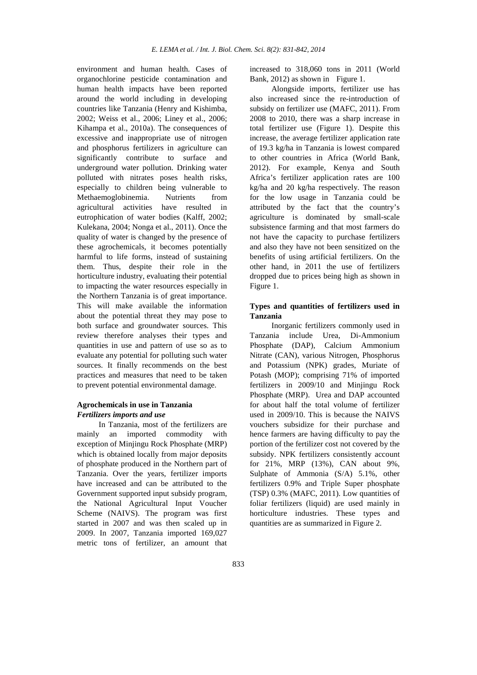environment and human health. Cases of organochlorine pesticide contamination and human health impacts have been reported around the world including in developing countries like Tanzania (Henry and Kishimba, 2002; Weiss et al., 2006; Liney et al., 2006; Kihampa et al., 2010a). The consequences of excessive and inappropriate use of nitrogen and phosphorus fertilizers in agriculture can significantly contribute to surface and underground water pollution. Drinking water polluted with nitrates poses health risks, especially to children being vulnerable to Methaemoglobinemia. Nutrients from agricultural activities have resulted in eutrophication of water bodies (Kalff, 2002; Kulekana, 2004; Nonga et al., 2011). Once the quality of water is changed by the presence of these agrochemicals, it becomes potentially harmful to life forms, instead of sustaining them. Thus, despite their role in the horticulture industry, evaluating their potential to impacting the water resources especially in the Northern Tanzania is of great importance. This will make available the information about the potential threat they may pose to both surface and groundwater sources. This review therefore analyses their types and quantities in use and pattern of use so as to evaluate any potential for polluting such water sources. It finally recommends on the best practices and measures that need to be taken to prevent potential environmental damage.

### **Agrochemicals in use in Tanzania**  *Fertilizers imports and use*

In Tanzania, most of the fertilizers are mainly an imported commodity with exception of Minjingu Rock Phosphate (MRP) which is obtained locally from major deposits of phosphate produced in the Northern part of Tanzania. Over the years, fertilizer imports have increased and can be attributed to the Government supported input subsidy program, the National Agricultural Input Voucher Scheme (NAIVS). The program was first started in 2007 and was then scaled up in 2009. In 2007, Tanzania imported 169,027 metric tons of fertilizer, an amount that increased to 318,060 tons in 2011 (World Bank, 2012) as shown in Figure 1.

Alongside imports, fertilizer use has also increased since the re-introduction of subsidy on fertilizer use (MAFC, 2011). From 2008 to 2010, there was a sharp increase in total fertilizer use (Figure 1). Despite this increase, the average fertilizer application rate of 19.3 kg/ha in Tanzania is lowest compared to other countries in Africa (World Bank, 2012). For example, Kenya and South Africa's fertilizer application rates are 100 kg/ha and 20 kg/ha respectively. The reason for the low usage in Tanzania could be attributed by the fact that the country's agriculture is dominated by small-scale subsistence farming and that most farmers do not have the capacity to purchase fertilizers and also they have not been sensitized on the benefits of using artificial fertilizers. On the other hand, in 2011 the use of fertilizers dropped due to prices being high as shown in Figure 1.

### **Types and quantities of fertilizers used in Tanzania**

Inorganic fertilizers commonly used in Tanzania include Urea, Di-Ammonium Phosphate (DAP), Calcium Ammonium Nitrate (CAN), various Nitrogen, Phosphorus and Potassium (NPK) grades, Muriate of Potash (MOP); comprising 71% of imported fertilizers in 2009/10 and Minjingu Rock Phosphate (MRP). Urea and DAP accounted for about half the total volume of fertilizer used in 2009/10. This is because the NAIVS vouchers subsidize for their purchase and hence farmers are having difficulty to pay the portion of the fertilizer cost not covered by the subsidy. NPK fertilizers consistently account for 21%, MRP (13%), CAN about 9%, Sulphate of Ammonia (S/A) 5.1%, other fertilizers 0.9% and Triple Super phosphate (TSP) 0.3% (MAFC, 2011). Low quantities of foliar fertilizers (liquid) are used mainly in horticulture industries. These types and quantities are as summarized in Figure 2.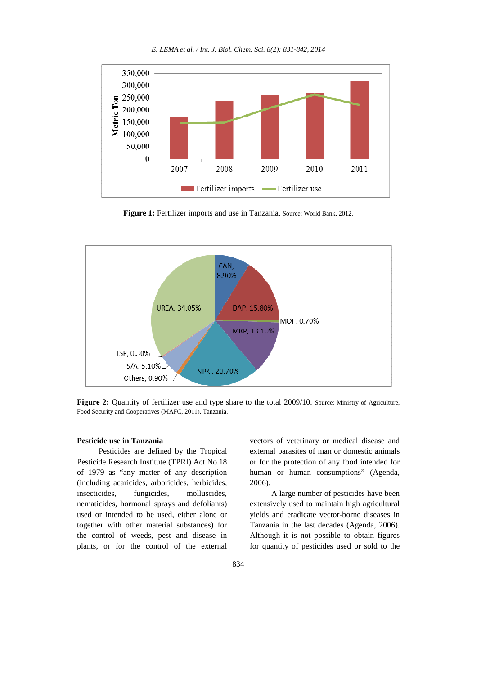



Figure 1: Fertilizer imports and use in Tanzania. Source: World Bank, 2012.



Figure 2: Quantity of fertilizer use and type share to the total 2009/10. Source: Ministry of Agriculture, Food Security and Cooperatives (MAFC, 2011), Tanzania.

#### **Pesticide use in Tanzania**

Pesticides are defined by the Tropical Pesticide Research Institute (TPRI) Act No.18 of 1979 as "any matter of any description (including acaricides, arboricides, herbicides, insecticides, fungicides, molluscides, nematicides, hormonal sprays and defoliants) used or intended to be used, either alone or together with other material substances) for the control of weeds, pest and disease in plants, or for the control of the external vectors of veterinary or medical disease and external parasites of man or domestic animals or for the protection of any food intended for human or human consumptions" (Agenda, 2006).

A large number of pesticides have been extensively used to maintain high agricultural yields and eradicate vector-borne diseases in Tanzania in the last decades (Agenda, 2006). Although it is not possible to obtain figures for quantity of pesticides used or sold to the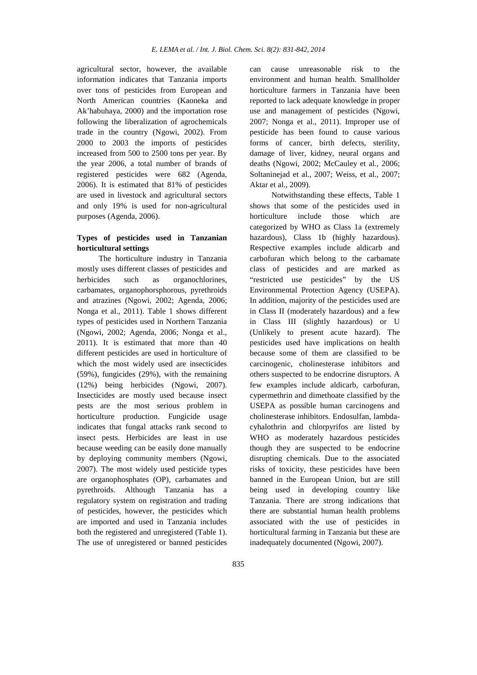agricultural sector, however, the available information indicates that Tanzania imports over tons of pesticides from European and North American countries (Kaoneka and Ak'habuhaya, 2000) and the importation rose following the liberalization of agrochemicals trade in the country (Ngowi, 2002). From 2000 to 2003 the imports of pesticides increased from 500 to 2500 tons per year. By the year 2006, a total number of brands of registered pesticides were 682 (Agenda, 2006). It is estimated that 81% of pesticides are used in livestock and agricultural sectors and only 19% is used for non-agricultural purposes (Agenda, 2006).

### **Types of pesticides used in Tanzanian horticultural settings**

The horticulture industry in Tanzania mostly uses different classes of pesticides and herbicides such as organochlorines, carbamates, organophorsphorous, pyrethroids and atrazines (Ngowi, 2002; Agenda, 2006; Nonga et al., 2011). Table 1 shows different types of pesticides used in Northern Tanzania (Ngowi, 2002; Agenda, 2006; Nonga et al., 2011). It is estimated that more than 40 different pesticides are used in horticulture of which the most widely used are insecticides (59%), fungicides (29%), with the remaining (12%) being herbicides (Ngowi, 2007). Insecticides are mostly used because insect pests are the most serious problem in horticulture production. Fungicide usage indicates that fungal attacks rank second to insect pests. Herbicides are least in use because weeding can be easily done manually by deploying community members (Ngowi, 2007). The most widely used pesticide types are organophosphates (OP), carbamates and pyrethroids. Although Tanzania has a regulatory system on registration and trading of pesticides, however, the pesticides which are imported and used in Tanzania includes both the registered and unregistered (Table 1). The use of unregistered or banned pesticides

can cause unreasonable risk to the environment and human health. Smallholder horticulture farmers in Tanzania have been reported to lack adequate knowledge in proper use and management of pesticides (Ngowi, 2007; Nonga et al., 2011). Improper use of pesticide has been found to cause various forms of cancer, birth defects, sterility, damage of liver, kidney, neural organs and deaths (Ngowi, 2002; McCauley et al., 2006; Soltaninejad et al., 2007; Weiss, et al., 2007; Aktar et al., 2009).

Notwithstanding these effects, Table 1 shows that some of the pesticides used in horticulture include those which are categorized by WHO as Class 1a (extremely hazardous), Class 1b (highly hazardous). Respective examples include aldicarb and carbofuran which belong to the carbamate class of pesticides and are marked as "restricted use pesticides" by the US Environmental Protection Agency (USEPA). In addition, majority of the pesticides used are in Class II (moderately hazardous) and a few in Class III (slightly hazardous) or U (Unlikely to present acute hazard). The pesticides used have implications on health because some of them are classified to be carcinogenic, cholinesterase inhibitors and others suspected to be endocrine disruptors. A few examples include aldicarb, carbofuran, cypermethrin and dimethoate classified by the USEPA as possible human carcinogens and cholinesterase inhibitors. Endosulfan, lambdacyhalothrin and chlorpyrifos are listed by WHO as moderately hazardous pesticides though they are suspected to be endocrine disrupting chemicals. Due to the associated risks of toxicity, these pesticides have been banned in the European Union, but are still being used in developing country like Tanzania. There are strong indications that there are substantial human health problems associated with the use of pesticides in horticultural farming in Tanzania but these are inadequately documented (Ngowi, 2007).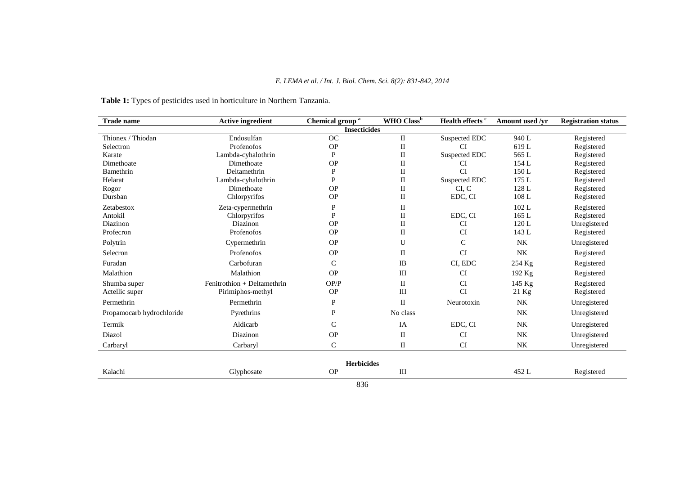|                                                                                |                                                                                                                                  | WHO Class <sup>b</sup>                                                                        | Health effects <sup>c</sup>                                                        | Amount used /vr                                                                              | <b>Registration status</b>                                      |  |  |  |  |  |
|--------------------------------------------------------------------------------|----------------------------------------------------------------------------------------------------------------------------------|-----------------------------------------------------------------------------------------------|------------------------------------------------------------------------------------|----------------------------------------------------------------------------------------------|-----------------------------------------------------------------|--|--|--|--|--|
| Chemical group <sup>a</sup><br><b>Active ingredient</b><br><b>Insecticides</b> |                                                                                                                                  |                                                                                               |                                                                                    |                                                                                              |                                                                 |  |  |  |  |  |
| Endosulfan                                                                     | OC                                                                                                                               | $\mathbf{I}$                                                                                  |                                                                                    | 940 L                                                                                        | Registered                                                      |  |  |  |  |  |
|                                                                                |                                                                                                                                  |                                                                                               |                                                                                    |                                                                                              | Registered                                                      |  |  |  |  |  |
|                                                                                |                                                                                                                                  | П                                                                                             |                                                                                    |                                                                                              | Registered                                                      |  |  |  |  |  |
|                                                                                |                                                                                                                                  |                                                                                               |                                                                                    |                                                                                              | Registered                                                      |  |  |  |  |  |
|                                                                                |                                                                                                                                  |                                                                                               |                                                                                    |                                                                                              | Registered                                                      |  |  |  |  |  |
|                                                                                |                                                                                                                                  |                                                                                               |                                                                                    |                                                                                              | Registered                                                      |  |  |  |  |  |
|                                                                                |                                                                                                                                  |                                                                                               |                                                                                    |                                                                                              | Registered                                                      |  |  |  |  |  |
|                                                                                |                                                                                                                                  | П                                                                                             |                                                                                    |                                                                                              | Registered                                                      |  |  |  |  |  |
| Zeta-cypermethrin                                                              | P                                                                                                                                | П                                                                                             |                                                                                    | 102L                                                                                         | Registered                                                      |  |  |  |  |  |
| Chlorpyrifos                                                                   | $\mathbf{P}$                                                                                                                     | П                                                                                             | EDC, CI                                                                            | 165 L                                                                                        | Registered                                                      |  |  |  |  |  |
| Diazinon                                                                       | <b>OP</b>                                                                                                                        | П                                                                                             | <b>CI</b>                                                                          | 120 L                                                                                        | Unregistered                                                    |  |  |  |  |  |
| Profenofos                                                                     | <b>OP</b>                                                                                                                        | $\mathbf{I}$                                                                                  | <b>CI</b>                                                                          | 143 L                                                                                        | Registered                                                      |  |  |  |  |  |
| Cypermethrin                                                                   | OP                                                                                                                               | U                                                                                             | $\mathcal{C}$                                                                      | <b>NK</b>                                                                                    | Unregistered                                                    |  |  |  |  |  |
| Profenofos                                                                     | <b>OP</b>                                                                                                                        | П                                                                                             | CI                                                                                 | NK                                                                                           | Registered                                                      |  |  |  |  |  |
| Carbofuran                                                                     | C                                                                                                                                | <b>IB</b>                                                                                     | CI, EDC                                                                            | 254 Kg                                                                                       | Registered                                                      |  |  |  |  |  |
| Malathion                                                                      | <b>OP</b>                                                                                                                        | III                                                                                           | <b>CI</b>                                                                          | 192 Kg                                                                                       | Registered                                                      |  |  |  |  |  |
| Fenitrothion + Deltamethrin                                                    | OP/P                                                                                                                             | П                                                                                             | <b>CI</b>                                                                          | 145 Kg                                                                                       | Registered                                                      |  |  |  |  |  |
| Pirimiphos-methyl                                                              | <b>OP</b>                                                                                                                        | III                                                                                           | CI                                                                                 | $21$ Kg                                                                                      | Registered                                                      |  |  |  |  |  |
| Permethrin                                                                     | $\mathbf P$                                                                                                                      | $\mathbf{I}$                                                                                  | Neurotoxin                                                                         | <b>NK</b>                                                                                    | Unregistered                                                    |  |  |  |  |  |
| Pyrethrins                                                                     | P                                                                                                                                | No class                                                                                      |                                                                                    | <b>NK</b>                                                                                    | Unregistered                                                    |  |  |  |  |  |
| Aldicarb                                                                       | C                                                                                                                                | IA                                                                                            | EDC, CI                                                                            | $\rm{NK}$                                                                                    | Unregistered                                                    |  |  |  |  |  |
| Diazinon                                                                       | <b>OP</b>                                                                                                                        | $\mathbf{I}$                                                                                  | CI                                                                                 | <b>NK</b>                                                                                    | Unregistered                                                    |  |  |  |  |  |
| Carbaryl                                                                       | $\mathbf C$                                                                                                                      | $\mathbf{I}$                                                                                  | <b>CI</b>                                                                          | $\rm{NK}$                                                                                    | Unregistered                                                    |  |  |  |  |  |
|                                                                                |                                                                                                                                  |                                                                                               |                                                                                    |                                                                                              |                                                                 |  |  |  |  |  |
|                                                                                |                                                                                                                                  |                                                                                               |                                                                                    |                                                                                              | Registered                                                      |  |  |  |  |  |
|                                                                                |                                                                                                                                  |                                                                                               |                                                                                    |                                                                                              |                                                                 |  |  |  |  |  |
|                                                                                | Profenofos<br>Lambda-cyhalothrin<br>Dimethoate<br>Deltamethrin<br>Lambda-cyhalothrin<br>Dimethoate<br>Chlorpyrifos<br>Glyphosate | <b>OP</b><br>P<br><b>OP</b><br>P<br>$\mathbf P$<br><b>OP</b><br><b>OP</b><br><b>OP</b><br>836 | $\mathbf{I}$<br>$\mathbf{I}$<br>$\mathbf{I}$<br>П<br>П<br><b>Herbicides</b><br>III | Suspected EDC<br>CI<br>Suspected EDC<br><b>CI</b><br>CI<br>Suspected EDC<br>CI, C<br>EDC, CI | 619L<br>565L<br>154 L<br>150L<br>175L<br>128 L<br>108L<br>452 L |  |  |  |  |  |

**Table 1:** Types of pesticides used in horticulture in Northern Tanzania.

836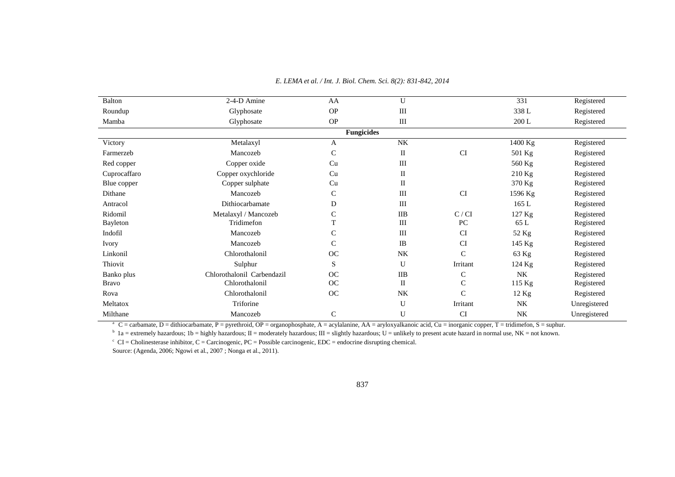| Balton            | 2-4-D Amine                | AA            | U              |                                       | 331       | Registered   |  |  |  |
|-------------------|----------------------------|---------------|----------------|---------------------------------------|-----------|--------------|--|--|--|
| Roundup           | Glyphosate                 | <b>OP</b>     | III            |                                       | 338L      | Registered   |  |  |  |
| Mamba             | Glyphosate                 | <b>OP</b>     | III            |                                       | 200 L     | Registered   |  |  |  |
| <b>Fungicides</b> |                            |               |                |                                       |           |              |  |  |  |
| Victory           | Metalaxyl                  | A             | N <sub>K</sub> |                                       | 1400 Kg   | Registered   |  |  |  |
| Farmerzeb         | Mancozeb                   | C             | $\mathbf{I}$   | CI                                    | 501 Kg    | Registered   |  |  |  |
| Red copper        | Copper oxide               | Cu            | III            |                                       | 560 Kg    | Registered   |  |  |  |
| Cuprocaffaro      | Copper oxychloride         | Cu            | $\mathbf{I}$   |                                       | $210$ Kg  | Registered   |  |  |  |
| Blue copper       | Copper sulphate            | Cu            | П              |                                       | 370 Kg    | Registered   |  |  |  |
| Dithane           | Mancozeb                   | C             | III            | <b>CI</b>                             | 1596 Kg   | Registered   |  |  |  |
| Antracol          | Dithiocarbamate            | D             | $\rm III$      |                                       | 165L      | Registered   |  |  |  |
| Ridomil           | Metalaxyl / Mancozeb       | C             | IIB            | $\mathrm{C}$ / $\mathrm{C}\mathrm{I}$ | 127 Kg    | Registered   |  |  |  |
| Bayleton          | Tridimefon                 | T             | III            | PC                                    | 65 L      | Registered   |  |  |  |
| Indofil           | Mancozeb                   | C             | III            | <b>CI</b>                             | 52 Kg     | Registered   |  |  |  |
| Ivory             | Mancozeb                   | $\mathcal{C}$ | <b>IB</b>      | <b>CI</b>                             | 145 Kg    | Registered   |  |  |  |
| Linkonil          | Chlorothalonil             | OC            | NK             | $\mathcal{C}$                         | 63 Kg     | Registered   |  |  |  |
| Thiovit           | Sulphur                    | S             | U              | Irritant                              | 124 Kg    | Registered   |  |  |  |
| Banko plus        | Chlorothalonil Carbendazil | OC            | <b>IIB</b>     | $\mathsf{C}$                          | NK        | Registered   |  |  |  |
| <b>Bravo</b>      | Chlorothalonil             | OC            | $\mathbf{I}$   | $\mathcal{C}$                         | 115 Kg    | Registered   |  |  |  |
| Rova              | Chlorothalonil             | OC            | $\rm N K$      | $\mathcal{C}$                         | 12 Kg     | Registered   |  |  |  |
| Meltatox          | Triforine                  |               | U              | Irritant                              | $\rm N K$ | Unregistered |  |  |  |
| Milthane          | Mancozeb                   | $\mathsf{C}$  | U              | <b>CI</b>                             | NK        | Unregistered |  |  |  |

*E. LEMA et al. / Int. J. Biol. Chem. Sci. 8(2): 831-842, 2014* 

<sup>a</sup> C = carbamate, D = dithiocarbamate, P = pyrethroid, OP = organophosphate, A = acylalanine, AA = aryloxyalkanoic acid, Cu = inorganic copper, T = tridimefon, S = suphur.

 $h$  1a = extremely hazardous; 1b = highly hazardous; II = moderately hazardous; III = slightly hazardous; U = unlikely to present acute hazard in normal use, NK = not known.

 $c$  CI = Cholinesterase inhibitor, C = Carcinogenic, PC = Possible carcinogenic, EDC = endocrine disrupting chemical.

Source: (Agenda, 2006; Ngowi et al., 2007 ; Nonga et al., 2011).

837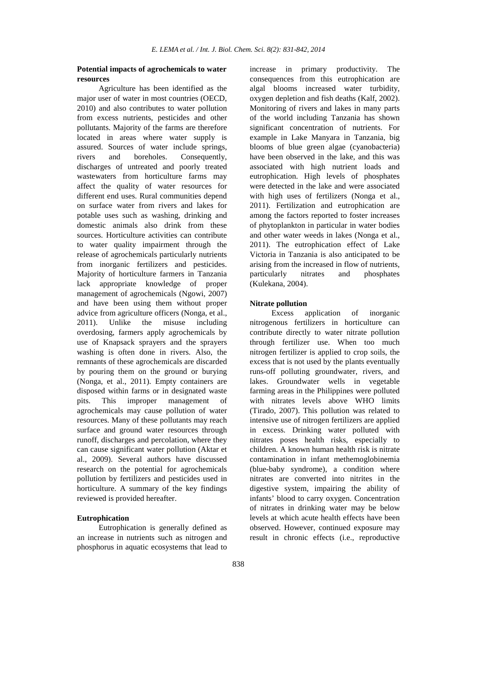### **Potential impacts of agrochemicals to water resources**

Agriculture has been identified as the major user of water in most countries (OECD, 2010) and also contributes to water pollution from excess nutrients, pesticides and other pollutants. Majority of the farms are therefore located in areas where water supply is assured. Sources of water include springs, rivers and boreholes. Consequently, discharges of untreated and poorly treated wastewaters from horticulture farms may affect the quality of water resources for different end uses. Rural communities depend on surface water from rivers and lakes for potable uses such as washing, drinking and domestic animals also drink from these sources. Horticulture activities can contribute to water quality impairment through the release of agrochemicals particularly nutrients from inorganic fertilizers and pesticides. Majority of horticulture farmers in Tanzania lack appropriate knowledge of proper management of agrochemicals (Ngowi, 2007) and have been using them without proper advice from agriculture officers (Nonga, et al., 2011). Unlike the misuse including overdosing, farmers apply agrochemicals by use of Knapsack sprayers and the sprayers washing is often done in rivers. Also, the remnants of these agrochemicals are discarded by pouring them on the ground or burying (Nonga, et al., 2011). Empty containers are disposed within farms or in designated waste pits. This improper management of agrochemicals may cause pollution of water resources. Many of these pollutants may reach surface and ground water resources through runoff, discharges and percolation, where they can cause significant water pollution (Aktar et al., 2009). Several authors have discussed research on the potential for agrochemicals pollution by fertilizers and pesticides used in horticulture. A summary of the key findings reviewed is provided hereafter.

### **Eutrophication**

Eutrophication is generally defined as an increase in nutrients such as nitrogen and phosphorus in aquatic ecosystems that lead to

increase in primary productivity. The consequences from this eutrophication are algal blooms increased water turbidity, oxygen depletion and fish deaths (Kalf, 2002). Monitoring of rivers and lakes in many parts of the world including Tanzania has shown significant concentration of nutrients. For example in Lake Manyara in Tanzania, big blooms of blue green algae (cyanobacteria) have been observed in the lake, and this was associated with high nutrient loads and eutrophication. High levels of phosphates were detected in the lake and were associated with high uses of fertilizers (Nonga et al., 2011). Fertilization and eutrophication are among the factors reported to foster increases of phytoplankton in particular in water bodies and other water weeds in lakes (Nonga et al., 2011). The eutrophication effect of Lake Victoria in Tanzania is also anticipated to be arising from the increased in flow of nutrients, particularly nitrates and phosphates (Kulekana, 2004).

### **Nitrate pollution**

Excess application of inorganic nitrogenous fertilizers in horticulture can contribute directly to water nitrate pollution through fertilizer use. When too much nitrogen fertilizer is applied to crop soils, the excess that is not used by the plants eventually runs-off polluting groundwater, rivers, and lakes. Groundwater wells in vegetable farming areas in the Philippines were polluted with nitrates levels above WHO limits (Tirado, 2007). This pollution was related to intensive use of nitrogen fertilizers are applied in excess. Drinking water polluted with nitrates poses health risks, especially to children. A known human health risk is nitrate contamination in infant methemoglobinemia (blue-baby syndrome), a condition where nitrates are converted into nitrites in the digestive system, impairing the ability of infants' blood to carry oxygen. Concentration of nitrates in drinking water may be below levels at which acute health effects have been observed. However, continued exposure may result in chronic effects (i.e., reproductive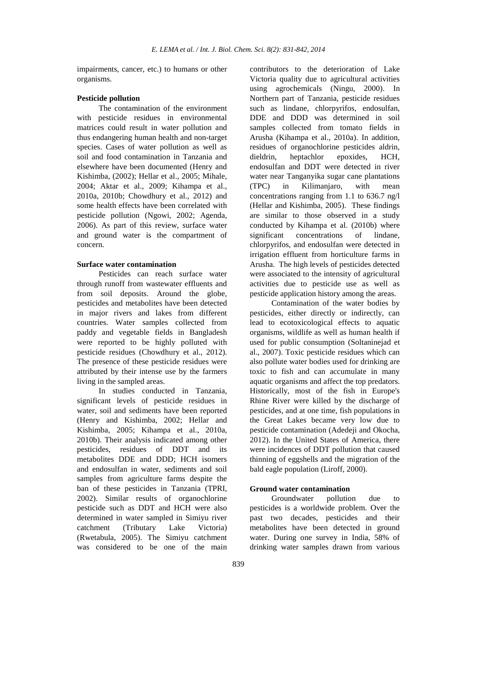impairments, cancer, etc.) to humans or other organisms.

#### **Pesticide pollution**

The contamination of the environment with pesticide residues in environmental matrices could result in water pollution and thus endangering human health and non-target species. Cases of water pollution as well as soil and food contamination in Tanzania and elsewhere have been documented (Henry and Kishimba, (2002); Hellar et al., 2005; Mihale, 2004; Aktar et al., 2009; Kihampa et al., 2010a, 2010b; Chowdhury et al., 2012) and some health effects have been correlated with pesticide pollution (Ngowi, 2002; Agenda, 2006). As part of this review, surface water and ground water is the compartment of concern.

### **Surface water contamination**

Pesticides can reach surface water through runoff from wastewater effluents and from soil deposits. Around the globe, pesticides and metabolites have been detected in major rivers and lakes from different countries. Water samples collected from paddy and vegetable fields in Bangladesh were reported to be highly polluted with pesticide residues (Chowdhury et al., 2012). The presence of these pesticide residues were attributed by their intense use by the farmers living in the sampled areas.

In studies conducted in Tanzania, significant levels of pesticide residues in water, soil and sediments have been reported (Henry and Kishimba, 2002; Hellar and Kishimba, 2005; Kihampa et al., 2010a, 2010b). Their analysis indicated among other pesticides, residues of DDT and its metabolites DDE and DDD; HCH isomers and endosulfan in water, sediments and soil samples from agriculture farms despite the ban of these pesticides in Tanzania (TPRI, 2002). Similar results of organochlorine pesticide such as DDT and HCH were also determined in water sampled in Simiyu river catchment (Tributary Lake Victoria) (Rwetabula, 2005). The Simiyu catchment was considered to be one of the main

contributors to the deterioration of Lake Victoria quality due to agricultural activities using agrochemicals (Ningu, 2000). In Northern part of Tanzania, pesticide residues such as lindane, chlorpyrifos, endosulfan, DDE and DDD was determined in soil samples collected from tomato fields in Arusha (Kihampa et al., 2010a). In addition, residues of organochlorine pesticides aldrin, dieldrin, heptachlor epoxides, HCH, endosulfan and DDT were detected in river water near Tanganyika sugar cane plantations (TPC) in Kilimanjaro, with mean concentrations ranging from 1.1 to 636.7 ng/l (Hellar and Kishimba, 2005). These findings are similar to those observed in a study conducted by Kihampa et al. (2010b) where significant concentrations of lindane, chlorpyrifos, and endosulfan were detected in irrigation effluent from horticulture farms in Arusha. The high levels of pesticides detected were associated to the intensity of agricultural activities due to pesticide use as well as pesticide application history among the areas.

Contamination of the water bodies by pesticides, either directly or indirectly, can lead to ecotoxicological effects to aquatic organisms, wildlife as well as human health if used for public consumption (Soltaninejad et al., 2007). Toxic pesticide residues which can also pollute water bodies used for drinking are toxic to fish and can accumulate in many aquatic organisms and affect the top predators. Historically, most of the fish in Europe's Rhine River were killed by the discharge of pesticides, and at one time, fish populations in the Great Lakes became very low due to pesticide contamination (Adedeji and Okocha, 2012). In the United States of America, there were incidences of DDT pollution that caused thinning of eggshells and the migration of the bald eagle population (Liroff, 2000).

#### **Ground water contamination**

Groundwater pollution due to pesticides is a worldwide problem. Over the past two decades, pesticides and their metabolites have been detected in ground water. During one survey in India, 58% of drinking water samples drawn from various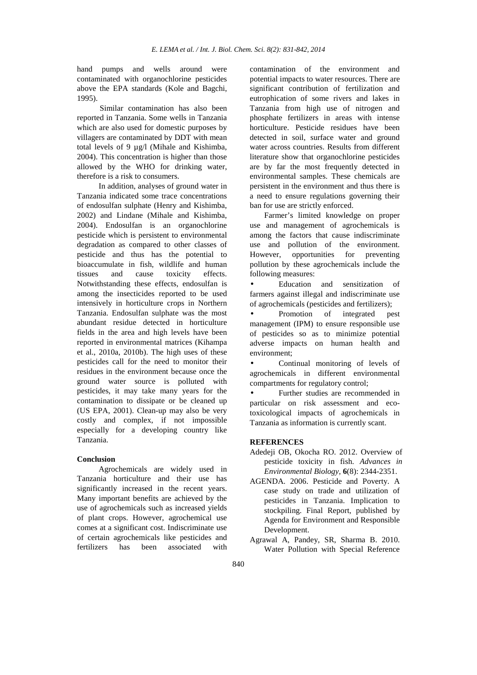hand pumps and wells around were contaminated with organochlorine pesticides above the EPA standards (Kole and Bagchi, 1995).

Similar contamination has also been reported in Tanzania. Some wells in Tanzania which are also used for domestic purposes by villagers are contaminated by DDT with mean total levels of 9 µg/l (Mihale and Kishimba, 2004). This concentration is higher than those allowed by the WHO for drinking water, therefore is a risk to consumers.

In addition, analyses of ground water in Tanzania indicated some trace concentrations of endosulfan sulphate (Henry and Kishimba, 2002) and Lindane (Mihale and Kishimba, 2004). Endosulfan is an organochlorine pesticide which is persistent to environmental degradation as compared to other classes of pesticide and thus has the potential to bioaccumulate in fish, wildlife and human tissues and cause toxicity effects. Notwithstanding these effects, endosulfan is among the insecticides reported to be used intensively in horticulture crops in Northern Tanzania. Endosulfan sulphate was the most abundant residue detected in horticulture fields in the area and high levels have been reported in environmental matrices (Kihampa et al., 2010a, 2010b). The high uses of these pesticides call for the need to monitor their residues in the environment because once the ground water source is polluted with pesticides, it may take many years for the contamination to dissipate or be cleaned up (US EPA, 2001). Clean-up may also be very costly and complex, if not impossible especially for a developing country like Tanzania.

### **Conclusion**

Agrochemicals are widely used in Tanzania horticulture and their use has significantly increased in the recent years. Many important benefits are achieved by the use of agrochemicals such as increased yields of plant crops. However, agrochemical use comes at a significant cost. Indiscriminate use of certain agrochemicals like pesticides and fertilizers has been associated with

contamination of the environment and potential impacts to water resources. There are significant contribution of fertilization and eutrophication of some rivers and lakes in Tanzania from high use of nitrogen and phosphate fertilizers in areas with intense horticulture. Pesticide residues have been detected in soil, surface water and ground water across countries. Results from different literature show that organochlorine pesticides are by far the most frequently detected in environmental samples. These chemicals are persistent in the environment and thus there is a need to ensure regulations governing their ban for use are strictly enforced.

Farmer's limited knowledge on proper use and management of agrochemicals is among the factors that cause indiscriminate use and pollution of the environment. However, opportunities for preventing pollution by these agrochemicals include the following measures:

• Education and sensitization of farmers against illegal and indiscriminate use of agrochemicals (pesticides and fertilizers);

• Promotion of integrated pest management (IPM) to ensure responsible use of pesticides so as to minimize potential adverse impacts on human health and environment;

Continual monitoring of levels of agrochemicals in different environmental compartments for regulatory control;

• Further studies are recommended in particular on risk assessment and ecotoxicological impacts of agrochemicals in Tanzania as information is currently scant.

## **REFERENCES**

- Adedeji OB, Okocha RO. 2012. Overview of pesticide toxicity in fish. *Advances in Environmental Biology,* **6**(8): 2344-2351.
- AGENDA. 2006. Pesticide and Poverty. A case study on trade and utilization of pesticides in Tanzania. Implication to stockpiling. Final Report, published by Agenda for Environment and Responsible Development.
- Agrawal A, Pandey, SR, Sharma B. 2010. Water Pollution with Special Reference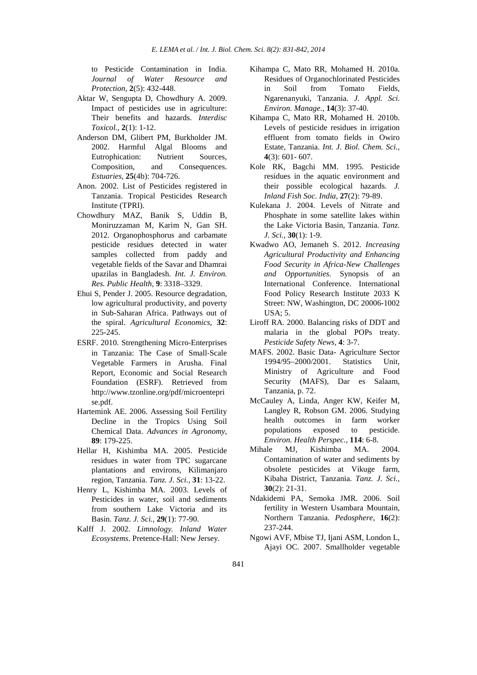to Pesticide Contamination in India. *Journal of Water Resource and Protection,* **2**(5): 432-448.

- Aktar W, Sengupta D, Chowdhury A. 2009. Impact of pesticides use in agriculture: Their benefits and hazards. *Interdisc Toxicol.,* **2**(1): 1-12.
- Anderson DM, Glibert PM, Burkholder JM. 2002. Harmful Algal Blooms and Eutrophication: Nutrient Sources, Composition, and Consequences. *Estuaries,* **25**(4b): 704-726.
- Anon. 2002. List of Pesticides registered in Tanzania. Tropical Pesticides Research Institute (TPRI).
- Chowdhury MAZ, Banik S, Uddin B, Moniruzzaman M, Karim N, Gan SH. 2012. Organophosphorus and carbamate pesticide residues detected in water samples collected from paddy and vegetable fields of the Savar and Dhamrai upazilas in Bangladesh. *Int. J. Environ. Res. Public Health,* **9**: 3318–3329.
- Ehui S, Pender J. 2005. Resource degradation, low agricultural productivity, and poverty in Sub-Saharan Africa. Pathways out of the spiral. *Agricultural Economics,* **32**: 225-245.
- ESRF. 2010. Strengthening Micro‐Enterprises in Tanzania: The Case of Small‐Scale Vegetable Farmers in Arusha. Final Report, Economic and Social Research Foundation (ESRF). Retrieved from http://www.tzonline.org/pdf/microentepri se.pdf.
- Hartemink AE. 2006. Assessing Soil Fertility Decline in the Tropics Using Soil Chemical Data. *Advances in Agronomy*, **89**: 179-225.
- Hellar H, Kishimba MA. 2005. Pesticide residues in water from TPC sugarcane plantations and environs, Kilimanjaro region, Tanzania. *Tanz. J. Sci.,* **31**: 13-22.
- Henry L, Kishimba MA. 2003. Levels of Pesticides in water, soil and sediments from southern Lake Victoria and its Basin. *Tanz. J. Sci.,* **29**(1): 77-90.
- Kalff J. 2002. *Limnology. Inland Water Ecosystems*. Pretence-Hall: New Jersey.
- Kihampa C, Mato RR, Mohamed H. 2010a. Residues of Organochlorinated Pesticides in Soil from Tomato Fields, Ngarenanyuki, Tanzania. *J. Appl. Sci. Environ. Manage.,* **14**(3): 37-40.
- Kihampa C, Mato RR, Mohamed H. 2010b. Levels of pesticide residues in irrigation effluent from tomato fields in Owiro Estate, Tanzania. *Int. J. Biol. Chem. Sci.*, **4**(3): 601- 607.
- Kole RK, Bagchi MM. 1995. Pesticide residues in the aquatic environment and their possible ecological hazards. *J. Inland Fish Soc. India,* **27**(2): 79-89.
- Kulekana J. 2004. Levels of Nitrate and Phosphate in some satellite lakes within the Lake Victoria Basin, Tanzania. *Tanz. J. Sci.,* **30**(1): 1-9.
- Kwadwo AO, Jemaneh S. 2012. *Increasing Agricultural Productivity and Enhancing Food Security in Africa-New Challenges and Opportunities.* Synopsis of an International Conference. International Food Policy Research Institute 2033 K Street: NW, Washington, DC 20006-1002 USA; 5.
- Liroff RA. 2000. Balancing risks of DDT and malaria in the global POPs treaty. *Pesticide Safety News,* **4**: 3-7.
- MAFS. 2002. Basic Data- Agriculture Sector 1994/95–2000/2001. Statistics Unit, Ministry of Agriculture and Food Security (MAFS), Dar es Salaam, Tanzania, p. 72.
- McCauley A, Linda, Anger KW, Keifer M, Langley R, Robson GM. 2006. Studying health outcomes in farm worker populations exposed to pesticide. *Environ. Health Perspec.,* **114**: 6-8.
- Mihale MJ, Kishimba MA. 2004. Contamination of water and sediments by obsolete pesticides at Vikuge farm, Kibaha District, Tanzania. *Tanz. J. Sci.,* **30**(2): 21-31.
- Ndakidemi PA, Semoka JMR. 2006. Soil fertility in Western Usambara Mountain, Northern Tanzania. *Pedosphere*, **16**(2): 237-244.
- Ngowi AVF, Mbise TJ, Ijani ASM, London L, Ajayi OC. 2007. Smallholder vegetable